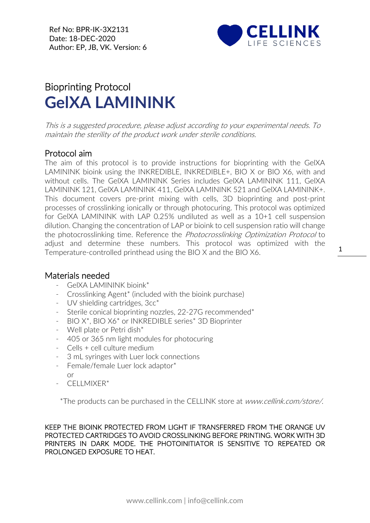Ref No: BPR-IK-3X2131 Date: 18-DEC-2020 Author: EP, JB, VK. Version: 6



## Bioprinting Protocol **GelXA LAMININK**

This is a suggested procedure, please adjust according to your experimental needs. To maintain the sterility of the product work under sterile conditions.

## Protocol aim

The aim of this protocol is to provide instructions for bioprinting with the GelXA LAMININK bioink using the INKREDIBLE, INKREDIBLE+, BIO X or BIO X6, with and without cells. The GelXA LAMININK Series includes GelXA LAMININK 111, GelXA LAMININK 121, GelXA LAMININK 411, GelXA LAMININK 521 and GelXA LAMININK+. This document covers pre-print mixing with cells, 3D bioprinting and post-print processes of crosslinking ionically or through photocuring. This protocol was optimized for GelXA LAMININK with LAP 0.25% undiluted as well as a 10+1 cell suspension dilution. Changing the concentration of LAP or bioink to cell suspension ratio will change the photocrosslinking time. Reference the Photocrosslinking Optimization Protocol to adjust and determine these numbers. This protocol was optimized with the Temperature-controlled printhead using the BIO X and the BIO X6.

## Materials needed

- GelXA LAMININK bioink\*
- Crosslinking Agent\* (included with the bioink purchase)
- [UV](https://cellink.com/product/uv-shielding-cartridges-3cc/) shielding cartridges, 3cc\*
- Sterile conical bioprinting nozzles, 22-27G recommended\*
- BIO X\*, BIO X6\* or INKREDIBLE series\* 3D Bioprinter
- Well plate or Petri dish\*
- 405 or 365 nm light modules for photocuring
- Cells + cell culture medium
- 3 mL syringes with Luer lock connections
- Female/female Luer lock adaptor\*
	- or
- CFI I MIXFR\*

\*The products can be purchased in the CELLINK store at www.cellink.com/store/.

KEEP THE BIOINK PROTECTED FROM LIGHT IF TRANSFERRED FROM THE ORANGE UV PROTECTED CARTRIDGES TO AVOID CROSSLINKING BEFORE PRINTING. WORK WITH 3D PRINTERS IN DARK MODE. THE PHOTOINITIATOR IS SENSITIVE TO REPEATED OR PROLONGED EXPOSURE TO HEAT.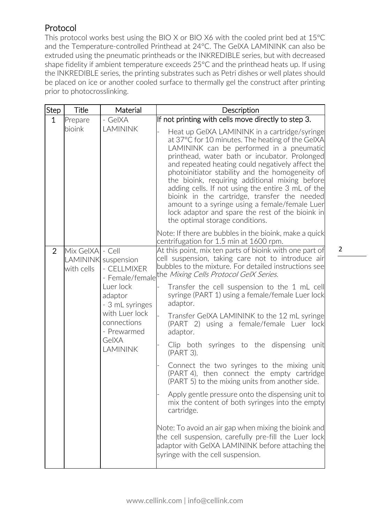## Protocol

This protocol works best using the BIO X or BIO X6 with the cooled print bed at 15°C and the Temperature-controlled Printhead at 24°C. The GelXA LAMININK can also be extruded using the pneumatic printheads or the INKREDIBLE series, but with decreased shape fidelity if ambient temperature exceeds 25°C and the printhead heats up. If using the INKREDIBLE series, the printing substrates such as Petri dishes or well plates should be placed on ice or another cooled surface to thermally gel the construct after printing prior to photocrosslinking.

| Step           | Title                          | Material                                              | Description                                                                                                                                                                                                                                                                                                                                                                                                                                                                                                                                                                                           |
|----------------|--------------------------------|-------------------------------------------------------|-------------------------------------------------------------------------------------------------------------------------------------------------------------------------------------------------------------------------------------------------------------------------------------------------------------------------------------------------------------------------------------------------------------------------------------------------------------------------------------------------------------------------------------------------------------------------------------------------------|
| $\mathbf{1}$   | Prepare                        | - GelXA                                               | If not printing with cells move directly to step 3.                                                                                                                                                                                                                                                                                                                                                                                                                                                                                                                                                   |
|                | bioink                         | <b>LAMININK</b>                                       | Heat up GeIXA LAMININK in a cartridge/syringe<br>at 37°C for 10 minutes. The heating of the GelXA<br>LAMININK can be performed in a pneumatic<br>printhead, water bath or incubator. Prolonged<br>and repeated heating could negatively affect the<br>photoinitiator stability and the homogeneity of<br>the bioink, requiring additional mixing before<br>adding cells. If not using the entire 3 mL of the<br>bioink in the cartridge, transfer the needed<br>amount to a syringe using a female/female Luer<br>lock adaptor and spare the rest of the bioink in<br>the optimal storage conditions. |
|                |                                |                                                       | Note: If there are bubbles in the bioink, make a quick<br>centrifugation for 1.5 min at 1600 rpm.                                                                                                                                                                                                                                                                                                                                                                                                                                                                                                     |
| $\overline{2}$ | Mix GelXA - Cell<br>with cells | LAMININK suspension<br>- CELLMIXER<br>- Female/female | At this point, mix ten parts of bioink with one part of<br>cell suspension, taking care not to introduce air<br>bubbles to the mixture. For detailed instructions see<br>the Mixing Cells Protocol GelX Series.                                                                                                                                                                                                                                                                                                                                                                                       |
|                |                                | Luer lock<br>adaptor<br>- 3 mL syringes               | Transfer the cell suspension to the 1 mL cell<br>syringe (PART 1) using a female/female Luer lock<br>adaptor.                                                                                                                                                                                                                                                                                                                                                                                                                                                                                         |
|                |                                | with Luer lock<br>connections<br>- Prewarmed          | Transfer GeIXA LAMININK to the 12 mL syringe<br>(PART 2) using a female/female Luer lock<br>adaptor.                                                                                                                                                                                                                                                                                                                                                                                                                                                                                                  |
|                |                                | GelXA<br><b>LAMININK</b>                              | Clip both syringes to the dispensing<br>unit<br>(PART 3).                                                                                                                                                                                                                                                                                                                                                                                                                                                                                                                                             |
|                |                                |                                                       | Connect the two syringes to the mixing unit<br>(PART 4), then connect the empty cartridge<br>(PART 5) to the mixing units from another side.                                                                                                                                                                                                                                                                                                                                                                                                                                                          |
|                |                                |                                                       | Apply gentle pressure onto the dispensing unit to<br>mix the content of both syringes into the empty<br>cartridge.                                                                                                                                                                                                                                                                                                                                                                                                                                                                                    |
|                |                                |                                                       | Note: To avoid an air gap when mixing the bioink and<br>the cell suspension, carefully pre-fill the Luer lock<br>adaptor with GeIXA LAMININK before attaching the<br>syringe with the cell suspension.                                                                                                                                                                                                                                                                                                                                                                                                |

2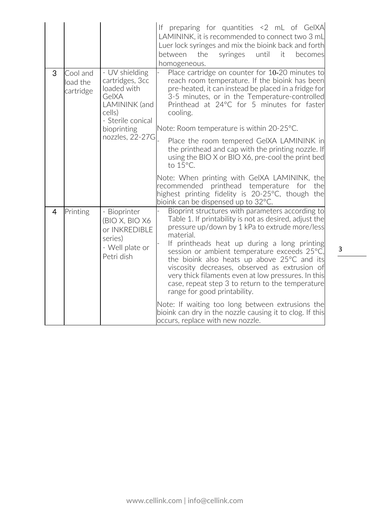|                |                                   |                                                                                                                                             | If preparing for quantities <2 mL of GeIXA<br>LAMININK, it is recommended to connect two 3 mL<br>Luer lock syringes and mix the bioink back and forth<br>between<br>the<br>syringes<br>until<br>it<br>becomes<br>homogeneous.                                                                                                                                                                                                                                                                                        |
|----------------|-----------------------------------|---------------------------------------------------------------------------------------------------------------------------------------------|----------------------------------------------------------------------------------------------------------------------------------------------------------------------------------------------------------------------------------------------------------------------------------------------------------------------------------------------------------------------------------------------------------------------------------------------------------------------------------------------------------------------|
| 3              | Cool and<br>load the<br>cartridge | - UV shielding<br>cartridges, 3cc<br>loaded with<br>GelXA<br>LAMININK (and<br>cells)<br>- Sterile conical<br>bioprinting<br>nozzles, 22-27G | Place cartridge on counter for 10-20 minutes to<br>reach room temperature. If the bioink has been<br>pre-heated, it can instead be placed in a fridge for<br>3-5 minutes, or in the Temperature-controlled<br>Printhead at 24°C for 5 minutes for faster<br>cooling.<br>Note: Room temperature is within 20-25 °C.<br>Place the room tempered GeIXA LAMININK in<br>the printhead and cap with the printing nozzle. If<br>using the BIO X or BIO X6, pre-cool the print bed                                           |
|                |                                   |                                                                                                                                             | to $15^{\circ}$ C.<br>Note: When printing with GeIXA LAMININK, the<br>recommended printhead temperature for<br>the<br>highest printing fidelity is 20-25°C, though the<br>bioink can be dispensed up to 32°C.                                                                                                                                                                                                                                                                                                        |
| $\overline{4}$ | Printing                          | - Bioprinter<br>(BIO X, BIO X6<br>or INKREDIBLE<br>series)<br>- Well plate or<br>Petri dish                                                 | Bioprint structures with parameters according to<br>Table 1. If printability is not as desired, adjust the<br>pressure up/down by 1 kPa to extrude more/less<br>material.<br>If printheads heat up during a long printing<br>session or ambient temperature exceeds 25°C,<br>the bioink also heats up above 25°C and its<br>viscosity decreases, observed as extrusion of<br>very thick filaments even at low pressures. In this<br>case, repeat step 3 to return to the temperature<br>range for good printability. |
|                |                                   |                                                                                                                                             | Note: If waiting too long between extrusions the<br>bioink can dry in the nozzle causing it to clog. If this<br>occurs, replace with new nozzle.                                                                                                                                                                                                                                                                                                                                                                     |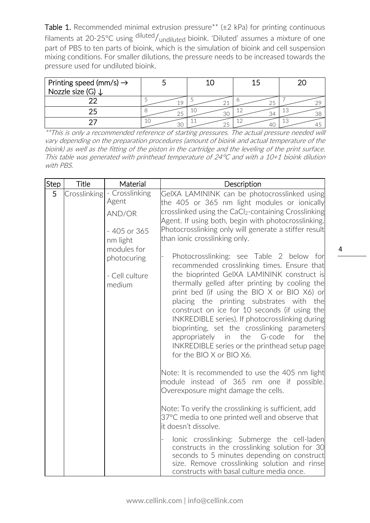Table 1. Recommended minimal extrusion pressure<sup>\*\*</sup> ( $\pm$ 2 kPa) for printing continuous filaments at 20-25°C using diluted/<sub>undiluted</sub> bioink. 'Diluted' assumes a mixture of one part of PBS to ten parts of bioink, which is the simulation of bioink and cell suspension mixing conditions. For smaller dilutions, the pressure needs to be increased towards the pressure used for undiluted bioink.

| Printing speed (mm/s) $\rightarrow$<br>Nozzle size (G) $\downarrow$ |    |        |
|---------------------------------------------------------------------|----|--------|
|                                                                     |    |        |
|                                                                     | 30 | TC     |
|                                                                     |    | . I 53 |

\*\*This is only a recommended reference of starting pressures. The actual pressure needed will vary depending on the preparation procedures (amount of bioink and actual temperature of the bioink) as well as the fitting of the piston in the cartridge and the leveling of the print surface. This table was generated with printhead temperature of 24°C and with a 10+1 bioink dilution with PBS.

| <b>Step</b> | <b>Title</b> | Material                                                      | Description                                                                                                                                                                                                                                                                                                                                                                                                                                                                                                                                                                                                                                                                                                                                                                                                                                                                                                                                                                                                                                                                              |
|-------------|--------------|---------------------------------------------------------------|------------------------------------------------------------------------------------------------------------------------------------------------------------------------------------------------------------------------------------------------------------------------------------------------------------------------------------------------------------------------------------------------------------------------------------------------------------------------------------------------------------------------------------------------------------------------------------------------------------------------------------------------------------------------------------------------------------------------------------------------------------------------------------------------------------------------------------------------------------------------------------------------------------------------------------------------------------------------------------------------------------------------------------------------------------------------------------------|
| 5           | Crosslinking | - Crosslinking<br>Agent<br>AND/OR<br>- 405 or 365<br>nm light | GeIXA LAMININK can be photocrosslinked using<br>the 405 or 365 nm light modules or ionically<br>crosslinked using the CaCl <sub>2</sub> -containing Crosslinking<br>Agent. If using both, begin with photocrosslinking.<br>Photocrosslinking only will generate a stiffer result<br>than ionic crosslinking only.                                                                                                                                                                                                                                                                                                                                                                                                                                                                                                                                                                                                                                                                                                                                                                        |
|             |              | modules for<br>photocuring<br>- Cell culture<br>medium        | Photocrosslinking: see Table 2 below for<br>recommended crosslinking times. Ensure that<br>the bioprinted GeIXA LAMININK construct is<br>thermally gelled after printing by cooling the<br>print bed (if using the BIO X or BIO X6) or<br>placing the printing substrates with the<br>construct on ice for 10 seconds (if using the<br>INKREDIBLE series). If photocrosslinking during<br>bioprinting, set the crosslinking parameters<br>appropriately in the G-code<br>for<br>thel<br>INKREDIBLE series or the printhead setup page<br>for the BIO X or BIO X6.<br>Note: It is recommended to use the 405 nm light<br>module instead of 365 nm one if possible.<br>Overexposure might damage the cells.<br>Note: To verify the crosslinking is sufficient, add<br>37°C media to one printed well and observe that<br>it doesn't dissolve.<br>lonic crosslinking: Submerge the cell-laden<br>constructs in the crosslinking solution for 30<br>seconds to 5 minutes depending on construct<br>size. Remove crosslinking solution and rinse<br>constructs with basal culture media once. |